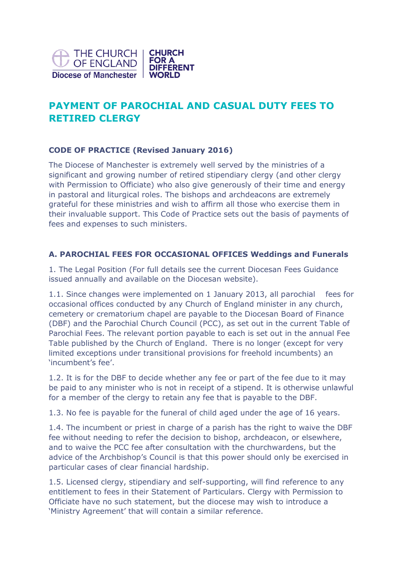

# **PAYMENT OF PAROCHIAL AND CASUAL DUTY FEES TO RETIRED CLERGY**

# **CODE OF PRACTICE (Revised January 2016)**

The Diocese of Manchester is extremely well served by the ministries of a significant and growing number of retired stipendiary clergy (and other clergy with Permission to Officiate) who also give generously of their time and energy in pastoral and liturgical roles. The bishops and archdeacons are extremely grateful for these ministries and wish to affirm all those who exercise them in their invaluable support. This Code of Practice sets out the basis of payments of fees and expenses to such ministers.

### **A. PAROCHIAL FEES FOR OCCASIONAL OFFICES Weddings and Funerals**

1. The Legal Position (For full details see the current Diocesan Fees Guidance issued annually and available on the Diocesan website).

1.1. Since changes were implemented on 1 January 2013, all parochial fees for occasional offices conducted by any Church of England minister in any church, cemetery or crematorium chapel are payable to the Diocesan Board of Finance (DBF) and the Parochial Church Council (PCC), as set out in the current Table of Parochial Fees. The relevant portion payable to each is set out in the annual Fee Table published by the Church of England. There is no longer (except for very limited exceptions under transitional provisions for freehold incumbents) an 'incumbent's fee'.

1.2. It is for the DBF to decide whether any fee or part of the fee due to it may be paid to any minister who is not in receipt of a stipend. It is otherwise unlawful for a member of the clergy to retain any fee that is payable to the DBF.

1.3. No fee is payable for the funeral of child aged under the age of 16 years.

1.4. The incumbent or priest in charge of a parish has the right to waive the DBF fee without needing to refer the decision to bishop, archdeacon, or elsewhere, and to waive the PCC fee after consultation with the churchwardens, but the advice of the Archbishop's Council is that this power should only be exercised in particular cases of clear financial hardship.

1.5. Licensed clergy, stipendiary and self-supporting, will find reference to any entitlement to fees in their Statement of Particulars. Clergy with Permission to Officiate have no such statement, but the diocese may wish to introduce a 'Ministry Agreement' that will contain a similar reference.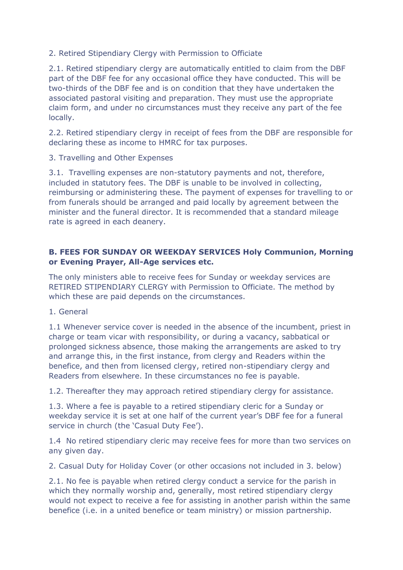2. Retired Stipendiary Clergy with Permission to Officiate

2.1. Retired stipendiary clergy are automatically entitled to claim from the DBF part of the DBF fee for any occasional office they have conducted. This will be two-thirds of the DBF fee and is on condition that they have undertaken the associated pastoral visiting and preparation. They must use the appropriate claim form, and under no circumstances must they receive any part of the fee locally.

2.2. Retired stipendiary clergy in receipt of fees from the DBF are responsible for declaring these as income to HMRC for tax purposes.

3. Travelling and Other Expenses

3.1. Travelling expenses are non-statutory payments and not, therefore, included in statutory fees. The DBF is unable to be involved in collecting, reimbursing or administering these. The payment of expenses for travelling to or from funerals should be arranged and paid locally by agreement between the minister and the funeral director. It is recommended that a standard mileage rate is agreed in each deanery.

# **B. FEES FOR SUNDAY OR WEEKDAY SERVICES Holy Communion, Morning or Evening Prayer, All-Age services etc.**

The only ministers able to receive fees for Sunday or weekday services are RETIRED STIPENDIARY CLERGY with Permission to Officiate. The method by which these are paid depends on the circumstances.

1. General

1.1 Whenever service cover is needed in the absence of the incumbent, priest in charge or team vicar with responsibility, or during a vacancy, sabbatical or prolonged sickness absence, those making the arrangements are asked to try and arrange this, in the first instance, from clergy and Readers within the benefice, and then from licensed clergy, retired non-stipendiary clergy and Readers from elsewhere. In these circumstances no fee is payable.

1.2. Thereafter they may approach retired stipendiary clergy for assistance.

1.3. Where a fee is payable to a retired stipendiary cleric for a Sunday or weekday service it is set at one half of the current year's DBF fee for a funeral service in church (the 'Casual Duty Fee').

1.4 No retired stipendiary cleric may receive fees for more than two services on any given day.

2. Casual Duty for Holiday Cover (or other occasions not included in 3. below)

2.1. No fee is payable when retired clergy conduct a service for the parish in which they normally worship and, generally, most retired stipendiary clergy would not expect to receive a fee for assisting in another parish within the same benefice (i.e. in a united benefice or team ministry) or mission partnership.